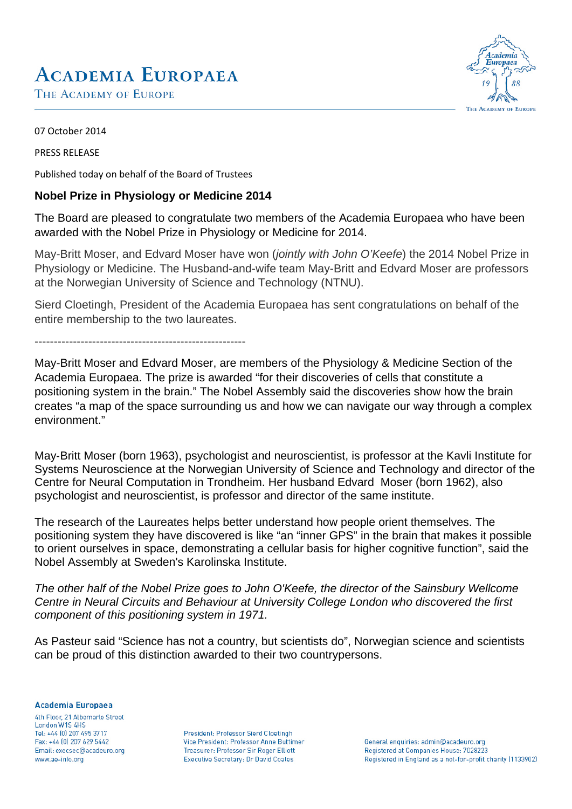# **ACADEMIA EUROPAEA**

THE ACADEMY OF EUROPE



07 October 2014

PRESS RELEASE

Published today on behalf of the Board of Trustees

### **Nobel Prize in Physiology or Medicine 2014**

The Board are pleased to congratulate two members of the Academia Europaea who have been awarded with the Nobel Prize in Physiology or Medicine for 2014.

May-Britt Moser, and Edvard Moser have won (*jointly with John O'Keefe*) the 2014 Nobel Prize in Physiology or Medicine. The Husband-and-wife team May-Britt and Edvard Moser are professors at the Norwegian University of Science and Technology (NTNU).

Sierd Cloetingh, President of the Academia Europaea has sent congratulations on behalf of the entire membership to the two laureates.

-------------------------------------------------------

May-Britt Moser and Edvard Moser, are members of the Physiology & Medicine Section of the Academia Europaea. The prize is awarded "for their discoveries of cells that constitute a positioning system in the brain." The Nobel Assembly said the discoveries show how the brain creates "a map of the space surrounding us and how we can navigate our way through a complex environment."

May‐Britt Moser (born 1963), psychologist and neuroscientist, is professor at the Kavli Institute for Systems Neuroscience at the Norwegian University of Science and Technology and director of the Centre for Neural Computation in Trondheim. Her husband Edvard Moser (born 1962), also psychologist and neuroscientist, is professor and director of the same institute.

The research of the Laureates helps better understand how people orient themselves. The positioning system they have discovered is like "an "inner GPS" in the brain that makes it possible to orient ourselves in space, demonstrating a cellular basis for higher cognitive function", said the Nobel Assembly at Sweden's Karolinska Institute.

*The other half of the Nobel Prize goes to John O'Keefe, the director of the Sainsbury Wellcome Centre in Neural Circuits and Behaviour at University College London who discovered the first component of this positioning system in 1971.* 

As Pasteur said "Science has not a country, but scientists do", Norwegian science and scientists can be proud of this distinction awarded to their two countrypersons.

Academia Europaea

4th Floor, 21 Albemarle Street London W1S 4HS Tel: +44 (0) 207 495 3717 Fax: +44 (0) 207 629 5442 Email: execsec@acadeuro.org www.ae-info.org

President: Professor Sierd Cloetingh Vice President: Professor Anne Buttimer Treasurer: Professor Sir Roger Elliott Executive Secretary: Dr David Coates

General enquiries: admin@acadeuro.org Registered at Companies House: 7028223 Registered in England as a not-for-profit charity (1133902)